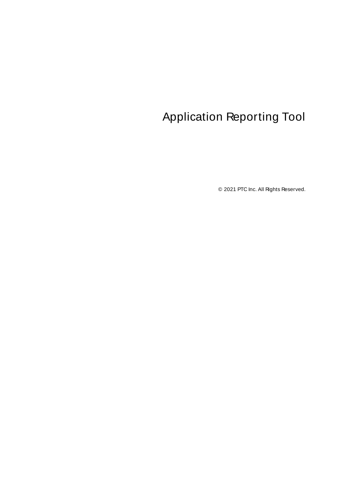# <span id="page-0-0"></span>Application Reporting Tool

© 2021 PTC Inc. All Rights Reserved.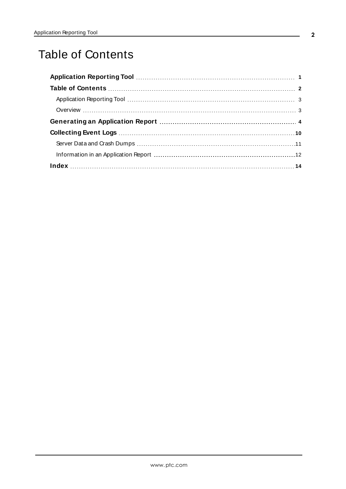# <span id="page-1-0"></span>Table of Contents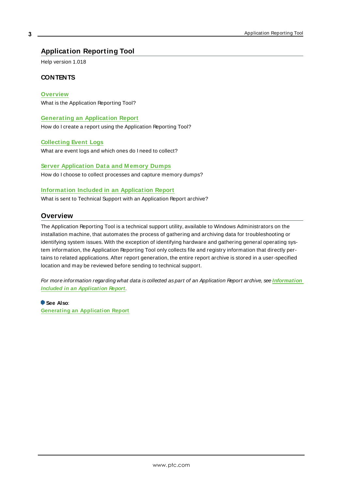## <span id="page-2-0"></span>**Application Reporting Tool**

Help version 1.018

## **CONTENTS**

#### **[Overview](#page-2-1)**

What is the Application Reporting Tool?

#### **Generating [an Application](#page-3-0) Report**

How do I create a report using the Application Reporting Tool?

#### **[Collecting](#page-9-0) Event Logs**

What are event logs and which ones do I need to collect?

## **Server [Application](#page-10-0) Data and M emory Dumps**

How do I choose to collect processes and capture memory dumps?

#### **[Information](#page-11-0) Included in an Application Report**

<span id="page-2-1"></span>What is sent to Technical Support with an Application Report archive?

## **Overview**

The Application Reporting Tool is a technical support utility, available to Windows Administrators on the installation machine, that automates the process of gathering and archiving data for troubleshooting or identifying system issues. With the exception of identifying hardware and gathering general operating system information, the Application Reporting Tool only collects file and registry information that directly pertains to related applications. After report generation, the entire report archive is stored in a user-specified location and may be reviewed before sending to technical support.

For more information regarding what data is collected as part of an Application Report archive, see **[Information](#page-11-0) Included in an [Application](#page-11-0) Report**.

**See Also**: **Generating an [Application](#page-3-0) Report**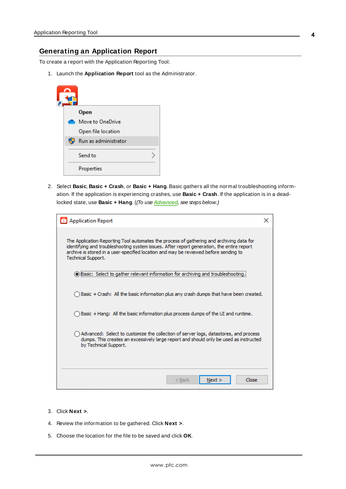#### <span id="page-3-0"></span>**Generating an Application Report**

To create a report with the Application Reporting Tool:

1. Launch the **Application Report** tool as the Administrator.

|  | Open                 |
|--|----------------------|
|  | Move to OneDrive     |
|  | Open file location   |
|  | Run as administrator |
|  | Send to              |
|  | Properties           |

2. Select **Basic**, **Basic + Crash**, or **Basic + Hang**. Basic gathers all the normal troubleshooting information. If the application is experiencing crashes, use **Basic + Crash**. If the application is in a deadlocked state, use **Basic + Hang**. ((To use **[Advanced](#page-4-0)**, see steps below.)

| Application Report                                                                                                                                                                                                                                                                                  |  |
|-----------------------------------------------------------------------------------------------------------------------------------------------------------------------------------------------------------------------------------------------------------------------------------------------------|--|
| The Application Reporting Tool automates the process of gathering and archiving data for<br>identifying and troubleshooting system issues. After report generation, the entire report<br>archive is stored in a user-specified location and may be reviewed before sending to<br>Technical Support. |  |
| Basic: Select to gather relevant information for archiving and troublesh                                                                                                                                                                                                                            |  |
| Basic + Crash: All the basic information plus any crash dumps that have been created.                                                                                                                                                                                                               |  |
| Basic + Hang: All the basic information plus process dumps of the UI and runtime.                                                                                                                                                                                                                   |  |
| Advanced: Select to customize the collection of server logs, datastores, and process<br>dumps. This creates an excessively large report and should only be used as instructed<br>by Technical Support.                                                                                              |  |
| Close<br>Next ><br>< Back                                                                                                                                                                                                                                                                           |  |

- 3. Click **Next >**.
- 4. Review the information to be gathered. Click **Next >**.
- 5. Choose the location for the file to be saved and click **OK**.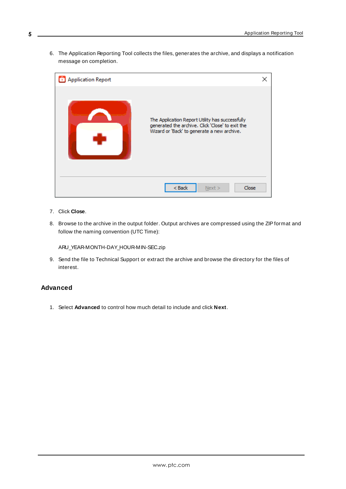6. The Application Reporting Tool collects the files, generates the archive, and displays a notification message on completion.



- <span id="page-4-1"></span>7. Click **Close**.
- 8. Browse to the archive in the output folder. Output archives are compressed using the ZIPformat and follow the naming convention (UTC Time):

ARU\_YEAR-MONTH-DAY\_HOUR-MIN-SEC.zip

9. Send the file to Technical Support or extract the archive and browse the directory for the files of interest.

#### <span id="page-4-0"></span>**Advanced**

1. Select **Advanced** to control how much detail to include and click **Next**.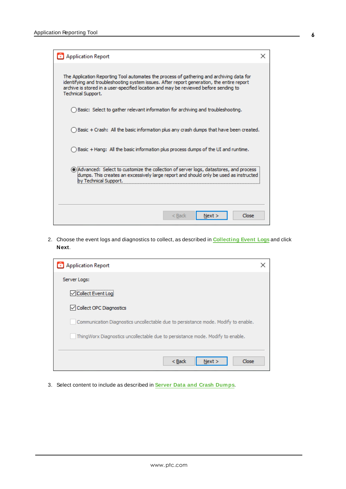| Application Report                                                                                                                                                                                                                                                                                         |  |
|------------------------------------------------------------------------------------------------------------------------------------------------------------------------------------------------------------------------------------------------------------------------------------------------------------|--|
| The Application Reporting Tool automates the process of gathering and archiving data for<br>identifying and troubleshooting system issues. After report generation, the entire report<br>archive is stored in a user-specified location and may be reviewed before sending to<br><b>Technical Support.</b> |  |
| Basic: Select to gather relevant information for archiving and troubleshooting.                                                                                                                                                                                                                            |  |
| Basic + Crash: All the basic information plus any crash dumps that have been created.                                                                                                                                                                                                                      |  |
| Basic + Hang: All the basic information plus process dumps of the UI and runtime.                                                                                                                                                                                                                          |  |
| (a) Advanced: Select to customize the collection of server logs, datastores, and process<br>dumps. This creates an excessively large report and should only be used as instructed<br>bv Technical Support.                                                                                                 |  |
| Close<br>< Back<br>Next >                                                                                                                                                                                                                                                                                  |  |

2. Choose the event logs and diagnostics to collect, as described in **[Collecting](#page-9-0) Event Logs** and click **Next**.

| Application Report                                                                 |  |
|------------------------------------------------------------------------------------|--|
| Server Logs:                                                                       |  |
| Collect Event Loai                                                                 |  |
| Collect OPC Diagnostics                                                            |  |
| Communication Diagnostics uncollectable due to persistance mode. Modify to enable. |  |
| ThingWorx Diagnostics uncollectable due to persistance mode. Modify to enable.     |  |
|                                                                                    |  |
| Close<br>$<$ Back<br>Next >                                                        |  |

3. Select content to include as described in **Server Data and Crash [Dumps](#page-10-0)**.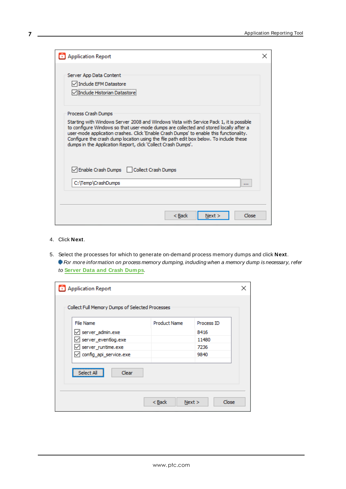| <b>Application Report</b>                                                                                                                                                                                                                                                                                                                                                                                                              | x |
|----------------------------------------------------------------------------------------------------------------------------------------------------------------------------------------------------------------------------------------------------------------------------------------------------------------------------------------------------------------------------------------------------------------------------------------|---|
| Server App Data Content<br>Include EFM Datastore<br>Include Historian Datastore                                                                                                                                                                                                                                                                                                                                                        |   |
| Process Crash Dumps                                                                                                                                                                                                                                                                                                                                                                                                                    |   |
| Starting with Windows Server 2008 and Windows Vista with Service Pack 1, it is possible<br>to configure Windows so that user-mode dumps are collected and stored locally after a<br>user-mode application crashes. Click 'Enable Crash Dumps' to enable this functionality.<br>Configure the crash dump location using the file path edit box below. To include these<br>dumps in the Application Report, click 'Collect Crash Dumps'. |   |
| Enable Crash Dumps   Collect Crash Dumps                                                                                                                                                                                                                                                                                                                                                                                               |   |
| C:\Temp\CrashDumps<br>                                                                                                                                                                                                                                                                                                                                                                                                                 |   |
|                                                                                                                                                                                                                                                                                                                                                                                                                                        |   |
| Close<br>< Back<br>Next                                                                                                                                                                                                                                                                                                                                                                                                                |   |

4. Click **Next**.

**7**

5. Select the processes for which to generate on-demand process memory dumps and click **Next**. For more information on process memory dumping, including when a memory dump is necessary, refer to **Server Data and Crash [Dumps](#page-10-0)**.

| Application Report                                                                                                             |                     |                                             |  |
|--------------------------------------------------------------------------------------------------------------------------------|---------------------|---------------------------------------------|--|
| Collect Full Memory Dumps of Selected Processes                                                                                |                     |                                             |  |
| File Name<br>$\vee$ server_admin.exe<br>$\sqrt{\ }$ server_eventlog.exe<br>$\vee$ server_runtime.exe<br>config_api_service.exe | <b>Product Name</b> | Process ID<br>8416<br>11480<br>7236<br>9840 |  |
| Select All<br>Clear                                                                                                            | $Back$<br>Next >    | Close                                       |  |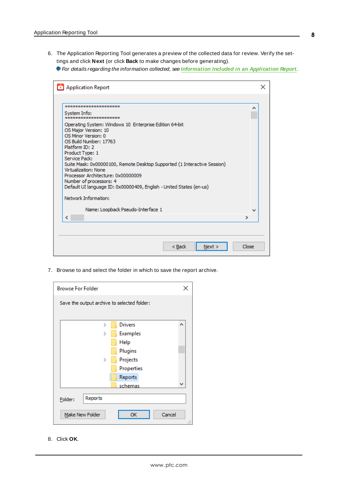6. The Application Reporting Tool generates a preview of the collected data for review. Verify the settings and click **Next** (or click **Back** to make changes before generating).

For details regarding the information collected, see **[Information](#page-11-0) Included in an Application Report**.

| Application Report                                                                                                                                                                                                                                                                                                                                                                                                                                        | x     |
|-----------------------------------------------------------------------------------------------------------------------------------------------------------------------------------------------------------------------------------------------------------------------------------------------------------------------------------------------------------------------------------------------------------------------------------------------------------|-------|
|                                                                                                                                                                                                                                                                                                                                                                                                                                                           |       |
| **********************                                                                                                                                                                                                                                                                                                                                                                                                                                    | ∧     |
| System Info:<br>*********************                                                                                                                                                                                                                                                                                                                                                                                                                     |       |
| Operating System: Windows 10 Enterprise Edition 64-bit<br>OS Major Version: 10<br>OS Minor Version: 0<br>OS Build Number: 17763<br>Platform ID: 2<br>Product Type: 1<br>Service Pack:<br>Suite Mask: 0x00000100, Remote Desktop Supported (1 Interactive Session)<br>Virtualization: None<br>Processor Architecture: 0x00000009<br>Number of processors: 4<br>Default UI language ID: 0x00000409, English - United States (en-us)<br>Network Information: |       |
|                                                                                                                                                                                                                                                                                                                                                                                                                                                           |       |
| Name: Loopback Pseudo-Interface 1                                                                                                                                                                                                                                                                                                                                                                                                                         | w     |
| ∢                                                                                                                                                                                                                                                                                                                                                                                                                                                         | ⋗     |
|                                                                                                                                                                                                                                                                                                                                                                                                                                                           |       |
| < Back<br>Next >                                                                                                                                                                                                                                                                                                                                                                                                                                          | Close |

7. Browse to and select the folder in which to save the report archive.

| <b>Browse For Folder</b>                    | ×                   |
|---------------------------------------------|---------------------|
| Save the output archive to selected folder: |                     |
|                                             |                     |
| $\rightarrow$                               | <b>Drivers</b><br>۸ |
|                                             | <b>Examples</b>     |
|                                             | Help                |
|                                             | Plugins             |
| $\mathcal{P}$                               | Projects            |
|                                             | Properties          |
|                                             | Reports             |
|                                             | v<br>schemas        |
|                                             |                     |
| Reports<br>Folder:                          |                     |
| Make New Folder                             | Cancel<br>OK        |
|                                             | .H                  |

8. Click **OK**.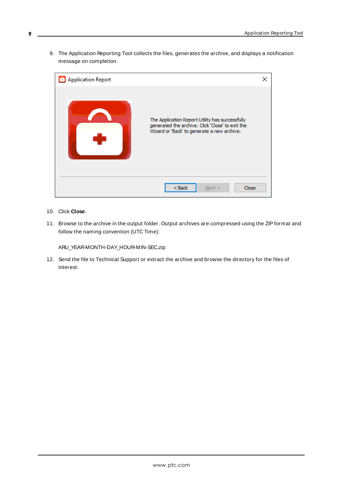9. The Application Reporting Tool collects the files, generates the archive, and displays a notification message on completion.



- <span id="page-8-0"></span>10. Click **Close**.
- 11. Browse to the archive in the output folder. Output archives are compressed using the ZIPformat and follow the naming convention (UTC Time):

ARU\_YEAR-MONTH-DAY\_HOUR-MIN-SEC.zip

12. Send the file to Technical Support or extract the archive and browse the directory for the files of interest.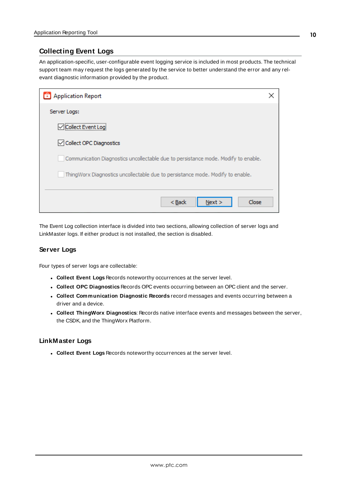## <span id="page-9-0"></span>**Collecting Event Logs**

An application-specific, user-configurable event logging service is included in most products. The technical support team may request the logs generated by the service to better understand the error and any relevant diagnostic information provided by the product.

| Application Report                                                                 |  |
|------------------------------------------------------------------------------------|--|
| Server Logs:                                                                       |  |
| Collect Event Log                                                                  |  |
| ○ Collect OPC Diagnostics                                                          |  |
| Communication Diagnostics uncollectable due to persistance mode. Modify to enable. |  |
| ThingWorx Diagnostics uncollectable due to persistance mode. Modify to enable.     |  |
|                                                                                    |  |
| Close<br>$<$ Back<br>Next >                                                        |  |

<span id="page-9-2"></span>The Event Log collection interface is divided into two sections, allowing collection of server logs and LinkMaster logs. If either product is not installed, the section is disabled.

#### <span id="page-9-6"></span>**Server Logs**

Four types of server logs are collectable:

- <span id="page-9-5"></span><span id="page-9-3"></span>**. Collect Event Logs** Records noteworthy occurrences at the server level.
- <span id="page-9-1"></span><sup>l</sup> **Collect OPC Diagnostics** Records OPC events occurring between an OPC client and the server.
- <sup>l</sup> **Collect Communication Diagnostic Records** record messages and events occurring between a driver and a device.
- <span id="page-9-7"></span><sup>l</sup> **Collect ThingWorx Diagnostics**: Records native interface events and messages between the server, the CSDK, and the ThingWorx Platform.

#### <span id="page-9-4"></span>**LinkMaster Logs**

**. Collect Event Logs** Records noteworthy occurrences at the server level.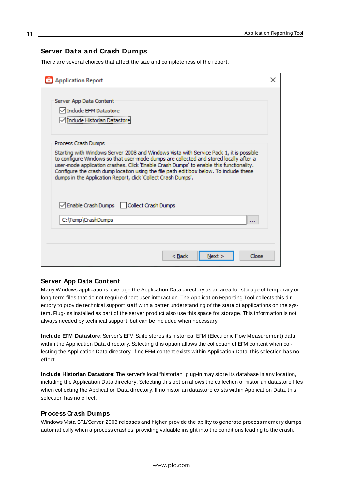## <span id="page-10-0"></span>**Server Data and Crash Dumps**

There are several choices that affect the size and completeness of the report.

| Application Report                                                                                                                                                                                                                                                                                                                                                                                                                                            | × |
|---------------------------------------------------------------------------------------------------------------------------------------------------------------------------------------------------------------------------------------------------------------------------------------------------------------------------------------------------------------------------------------------------------------------------------------------------------------|---|
| Server App Data Content<br>Include EFM Datastore<br>l'Include Historian Datastore:                                                                                                                                                                                                                                                                                                                                                                            |   |
| Process Crash Dumps<br>Starting with Windows Server 2008 and Windows Vista with Service Pack 1, it is possible<br>to configure Windows so that user-mode dumps are collected and stored locally after a<br>user-mode application crashes. Click 'Enable Crash Dumps' to enable this functionality.<br>Configure the crash dump location using the file path edit box below. To include these<br>dumps in the Application Report, click 'Collect Crash Dumps'. |   |
| Enable Crash Dumps   Collect Crash Dumps<br>C:\Temp\CrashDumps<br>111                                                                                                                                                                                                                                                                                                                                                                                         |   |
| Close<br>< Back<br>Next >                                                                                                                                                                                                                                                                                                                                                                                                                                     |   |

#### <span id="page-10-4"></span><span id="page-10-1"></span>**Server App Data Content**

Many Windows applications leverage the Application Data directory as an area for storage of temporary or long-term files that do not require direct user interaction. The Application Reporting Tool collects this directory to provide technical support staff with a better understanding of the state of applications on the system. Plug-ins installed as part of the server product also use this space for storage. This information is not always needed by technical support, but can be included when necessary.

<span id="page-10-2"></span>**Include EFM Datastore**: Server's EFM Suite stores its historical EFM (Electronic Flow Measurement) data within the Application Data directory. Selecting this option allows the collection of EFM content when collecting the Application Data directory. If no EFM content exists within Application Data, this selection has no effect.

<span id="page-10-3"></span>**Include Historian Datastore**: The server's local "historian" plug-in may store its database in any location, including the Application Data directory. Selecting this option allows the collection of historian datastore files when collecting the Application Data directory. If no historian datastore exists within Application Data, this selection has no effect.

#### **Process Crash Dumps**

Windows Vista SP1/Server 2008 releases and higher provide the ability to generate process memory dumps automatically when a process crashes, providing valuable insight into the conditions leading to the crash.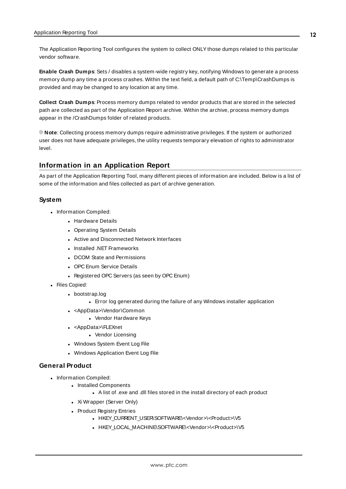The Application Reporting Tool configures the system to collect ONLYthose dumps related to this particular vendor software.

<span id="page-11-4"></span>**Enable Crash Dumps**: Sets / disables a system-wide registry key, notifying Windows to generate a process memory dump any time a process crashes. Within the text field, a default path of C:\Temp\CrashDumps is provided and may be changed to any location at any time.

<span id="page-11-2"></span>**Collect Crash Dumps**: Process memory dumps related to vendor products that are stored in the selected path are collected as part of the Application Report archive. Within the archive, process memory dumps appear in the /CrashDumps folder of related products.

**Note**: Collecting process memory dumps require administrative privileges. If the system or authorized user does not have adequate privileges, the utility requests temporary elevation of rights to administrator level.

## <span id="page-11-0"></span>**Information in an Application Report**

As part of the Application Reporting Tool, many different pieces of information are included. Below is a list of some of the information and files collected as part of archive generation.

#### **System**

- <span id="page-11-5"></span>• Information Compiled:
	- Hardware Details
	- Operating System Details
	- Active and Disconnected Network Interfaces
	- Installed .NET Frameworks
	- DCOM State and Permissions
	- OPC Enum Service Details
	- Registered OPC Servers (as seen by OPC Enum)
- <span id="page-11-6"></span><span id="page-11-3"></span><span id="page-11-1"></span>• Files Copied:
	- bootstrap.log
		- Error log generated during the failure of any Windows installer application
	- <AppData>\Vendor\Common
		- Vendor Hardware Keys
	- <AppData>\FLEXnet
		- Vendor Licensing
	- Windows System Event Log File
	- Windows Application Event Log File

#### **General Product**

- Information Compiled:
	- Installed Components
		- A list of .exe and .dll files stored in the install directory of each product
	- Xi Wrapper (Server Only)
	- Product Registry Entries
		- <sup>l</sup> HKEY\_CURRENT\_USER\SOFTWARE\<Vendor>\<Product>\V5
		- . HKEY\_LOCAL\_MACHINE\SOFTWARE\<Vendor>\<Product>\V5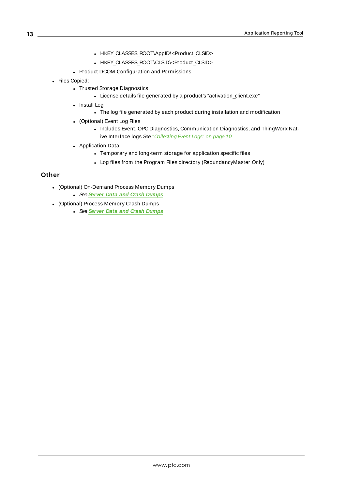- HKEY\_CLASSES\_ROOT\AppID\<Product\_CLSID>
- <sup>l</sup> HKEY\_CLASSES\_ROOT\CLSID\<Product\_CLSID>
- <span id="page-12-0"></span>• Product DCOM Configuration and Permissions
- Files Copied:
	- Trusted Storage Diagnostics
		- License details file generated by a product's "activation\_client.exe"
	- Install Log
		- The log file generated by each product during installation and modification
	- (Optional) Event Log Files
		- Includes Event, OPC Diagnostics, Communication Diagnostics, and ThingWorx Nat-ive Interface logs See ["Collecting](#page-9-0) Event Logs" on page 10
	- Application Data
		- Temporary and long-term storage for application specific files
		- Log files from the Program Files directory (RedundancyMaster Only)

#### **Other**

- (Optional) On-Demand Process Memory Dumps
	- <sup>l</sup> See **Server Data and Crash [Dumps](#page-10-0)**
- (Optional) Process Memory Crash Dumps
	- <sup>l</sup> See **Server Data and Crash [Dumps](#page-10-0)**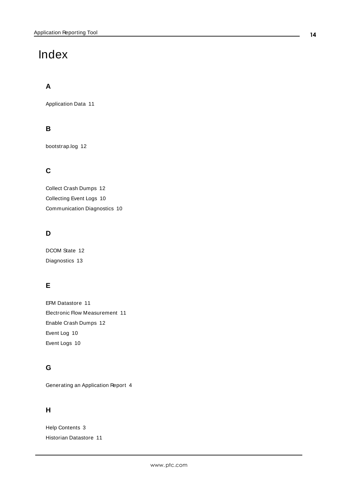# <span id="page-13-0"></span>Index

# **A**

Application Data [11](#page-10-1)

# **B**

bootstrap.log [12](#page-11-1)

# **C**

Collect Crash Dumps [12](#page-11-2) Collecting Event Logs [10](#page-9-0) Communication Diagnostics [10](#page-9-1)

# **D**

DCOM State [12](#page-11-3) Diagnostics [13](#page-12-0)

# **E**

EFM Datastore [11](#page-10-2) Electronic Flow Measurement [11](#page-10-2) Enable Crash Dumps [12](#page-11-4) Event Log [10](#page-9-2) Event Logs [10](#page-9-3)

## **G**

Generating an Application Report [4](#page-3-0)

## **H**

Help Contents [3](#page-2-0) Historian Datastore [11](#page-10-3)